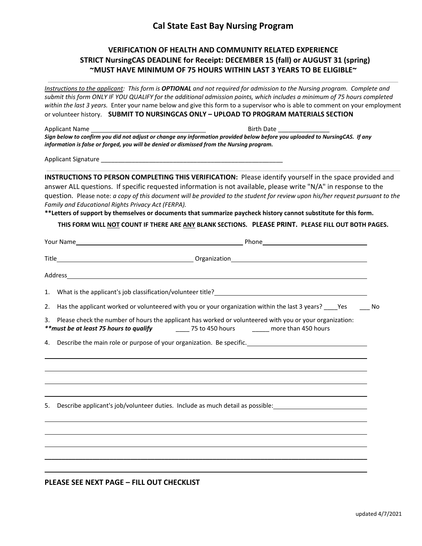# **Cal State East Bay Nursing Program**

## **VERIFICATION OF HEALTH AND COMMUNITY RELATED EXPERIENCE STRICT NursingCAS DEADLINE for Receipt: DECEMBER 15 (fall) or AUGUST 31 (spring) ~MUST HAVE MINIMUM OF 75 HOURS WITHIN LAST 3 YEARS TO BE ELIGIBLE~**

|                | Instructions to the applicant: This form is OPTIONAL and not required for admission to the Nursing program. Complete and       |  |  |  |
|----------------|--------------------------------------------------------------------------------------------------------------------------------|--|--|--|
|                | submit this form ONLY IF YOU QUALIFY for the additional admission points, which includes a minimum of 75 hours completed       |  |  |  |
|                | within the last 3 years. Enter your name below and give this form to a supervisor who is able to comment on your employment    |  |  |  |
|                | or volunteer history. SUBMIT TO NURSINGCAS ONLY - UPLOAD TO PROGRAM MATERIALS SECTION                                          |  |  |  |
| Applicant Name | Birth Date and the state of the state of the state of the state of the state of the state of the state of the                  |  |  |  |
|                | Sign below to confirm you did not adjust or change any information provided below before you uploaded to NursingCAS. If any    |  |  |  |
|                | information is false or forged, you will be denied or dismissed from the Nursing program.                                      |  |  |  |
|                |                                                                                                                                |  |  |  |
|                | INSTRUCTIONS TO PERSON COMPLETING THIS VERIFICATION: Please identify yourself in the space provided and                        |  |  |  |
|                | answer ALL questions. If specific requested information is not available, please write "N/A" in response to the                |  |  |  |
|                | question. Please note: a copy of this document will be provided to the student for review upon his/her request pursuant to the |  |  |  |
|                | Family and Educational Rights Privacy Act (FERPA).                                                                             |  |  |  |
|                | **Letters of support by themselves or documents that summarize paycheck history cannot substitute for this form.               |  |  |  |
|                | THIS FORM WILL NOT COUNT IF THERE ARE ANY BLANK SECTIONS. PLEASE PRINT. PLEASE FILL OUT BOTH PAGES.                            |  |  |  |
|                |                                                                                                                                |  |  |  |
|                |                                                                                                                                |  |  |  |
|                |                                                                                                                                |  |  |  |
|                | 1. What is the applicant's job classification/volunteer title?<br><u>Letting</u>                                               |  |  |  |
| 2.             | Has the applicant worked or volunteered with you or your organization within the last 3 years? _____Yes _______No              |  |  |  |
| 3.             | Please check the number of hours the applicant has worked or volunteered with you or your organization:                        |  |  |  |
| 4.             | Describe the main role or purpose of your organization. Be specific.________________________________                           |  |  |  |
|                |                                                                                                                                |  |  |  |
|                |                                                                                                                                |  |  |  |
|                |                                                                                                                                |  |  |  |
| 5.             | Describe applicant's job/volunteer duties. Include as much detail as possible:                                                 |  |  |  |
|                |                                                                                                                                |  |  |  |
|                |                                                                                                                                |  |  |  |
|                |                                                                                                                                |  |  |  |
|                |                                                                                                                                |  |  |  |

## **PLEASE SEE NEXT PAGE – FILL OUT CHECKLIST**